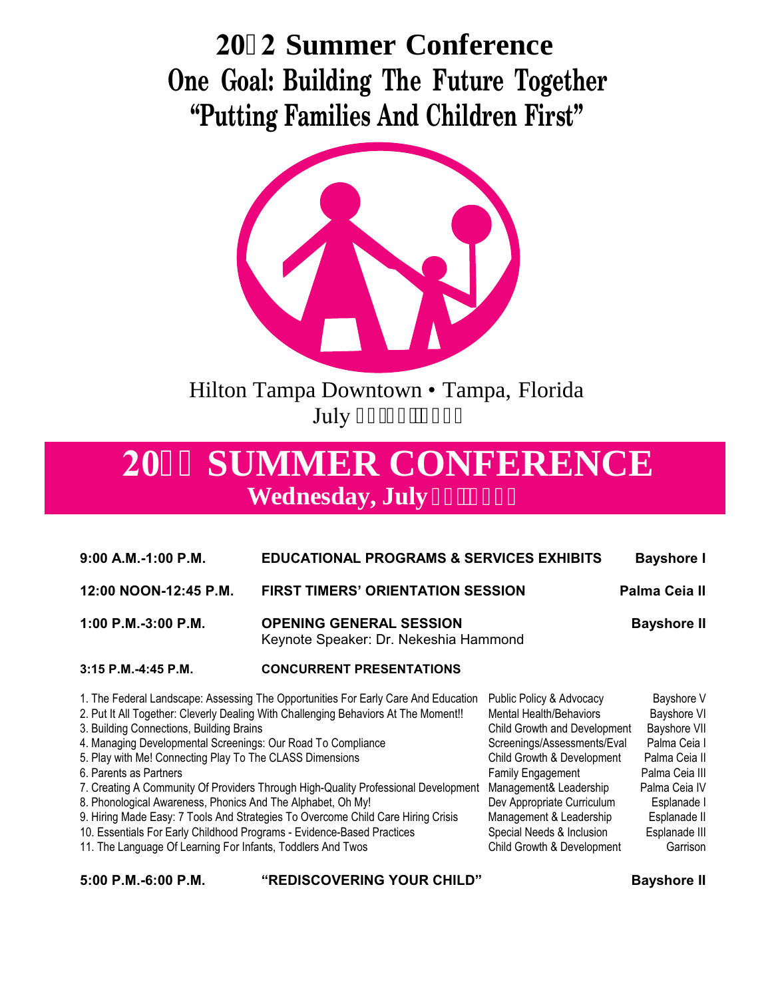# **202 Summer Conference One Goal: Building The Future Together "Putting Families And Children First"**



Hilton Tampa Downtown • Tampa, Florida July 42/44.'4244

# **2044 SUMMER CONFERENCE Wednesday, July**

| $9:00$ A.M.-1:00 P.M.                                                                                                                                                                                                                                         | <b>EDUCATIONAL PROGRAMS &amp; SERVICES EXHIBITS</b>                                                                                                                                                                                                             |                                                                                                                                                                                                                                      | <b>Bayshore I</b>                                                                                                            |
|---------------------------------------------------------------------------------------------------------------------------------------------------------------------------------------------------------------------------------------------------------------|-----------------------------------------------------------------------------------------------------------------------------------------------------------------------------------------------------------------------------------------------------------------|--------------------------------------------------------------------------------------------------------------------------------------------------------------------------------------------------------------------------------------|------------------------------------------------------------------------------------------------------------------------------|
| 12:00 NOON-12:45 P.M.                                                                                                                                                                                                                                         | <b>FIRST TIMERS' ORIENTATION SESSION</b>                                                                                                                                                                                                                        |                                                                                                                                                                                                                                      | Palma Ceia II                                                                                                                |
| 1:00 P.M.-3:00 P.M.                                                                                                                                                                                                                                           | <b>OPENING GENERAL SESSION</b><br>Keynote Speaker: Dr. Nekeshia Hammond                                                                                                                                                                                         |                                                                                                                                                                                                                                      | <b>Bayshore II</b>                                                                                                           |
| 3:15 P.M.-4:45 P.M.                                                                                                                                                                                                                                           | <b>CONCURRENT PRESENTATIONS</b>                                                                                                                                                                                                                                 |                                                                                                                                                                                                                                      |                                                                                                                              |
| 3. Building Connections, Building Brains<br>4. Managing Developmental Screenings: Our Road To Compliance<br>5. Play with Me! Connecting Play To The CLASS Dimensions<br>6. Parents as Partners<br>8. Phonological Awareness, Phonics And The Alphabet, Oh My! | 1. The Federal Landscape: Assessing The Opportunities For Early Care And Education<br>2. Put It All Together: Cleverly Dealing With Challenging Behaviors At The Moment!!<br>7. Creating A Community Of Providers Through High-Quality Professional Development | Public Policy & Advocacy<br><b>Mental Health/Behaviors</b><br>Child Growth and Development<br>Screenings/Assessments/Eval<br>Child Growth & Development<br>Family Engagement<br>Management& Leadership<br>Dev Appropriate Curriculum | Bayshore V<br>Bayshore VI<br>Bayshore VII<br>Palma Ceia I<br>Palma Ceia II<br>Palma Ceia III<br>Palma Ceia IV<br>Esplanade I |
| 9. Hiring Made Easy: 7 Tools And Strategies To Overcome Child Care Hiring Crisis<br>10. Essentials For Early Childhood Programs - Evidence-Based Practices<br>11. The Language Of Learning For Infants, Toddlers And Twos                                     |                                                                                                                                                                                                                                                                 | Management & Leadership<br>Special Needs & Inclusion<br>Child Growth & Development                                                                                                                                                   | Esplanade II<br>Esplanade III<br>Garrison                                                                                    |

| 5:00 P.M.-6:00 P.M. | "REDISCOVERING YOUR CHILD" | <b>Bayshore II</b> |
|---------------------|----------------------------|--------------------|
|                     |                            |                    |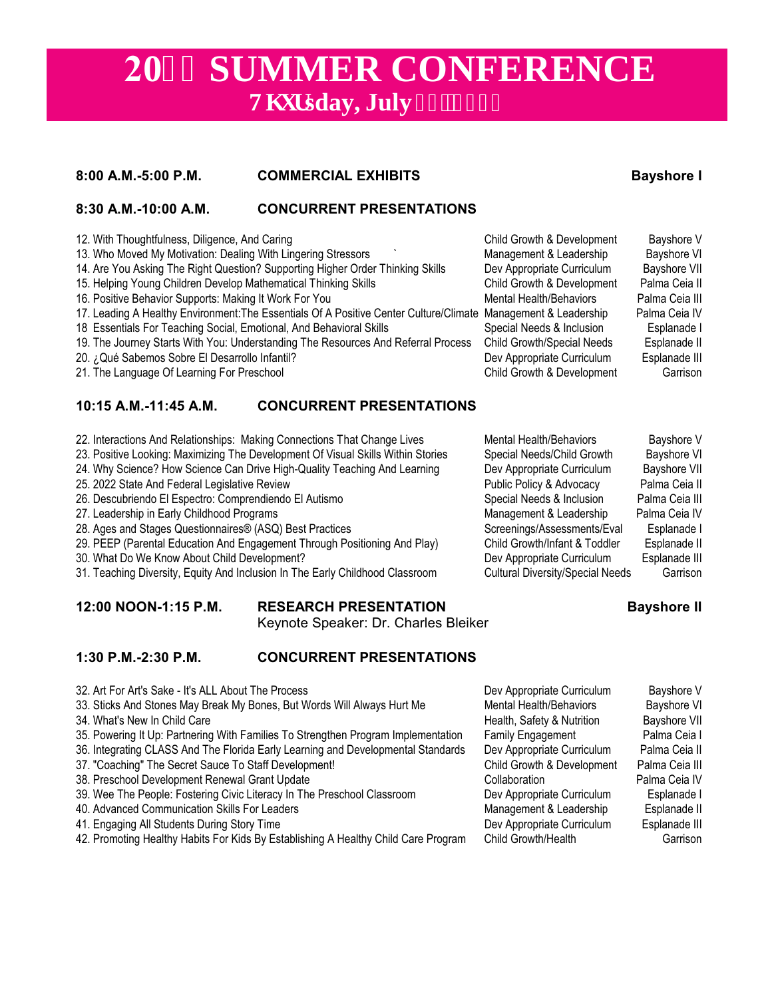# **2044 SUMMER CONFERENCE V**j wtsday, July 43.'4244

## **8:00 A.M.-5:00 P.M. COMMERCIAL EXHIBITS Bayshore I**

## **8:30 A.M.-10:00 A.M. CONCURRENT PRESENTATIONS**

- 12. With Thoughtfulness, Diligence, And Caring Child Growth & Development Bayshore V 13. Who Moved My Motivation: Dealing With Lingering Stressors ` Management & Leadership Bayshore VI 14. Are You Asking The Right Question? Supporting Higher Order Thinking Skills Dev Appropriate Curriculum Bayshore VII<br>15. Helping Young Children Develop Mathematical Thinking Skills Child Growth & Development Palma Ceia I 15. Helping Young Children Develop Mathematical Thinking Skills Child Growth & Development Palma Ceia II<br>16. Positive Behavior Supports: Making It Work For You 16. Positive Behavior Supports: Making It Work For You Mental Health/Behaviors Palma Ceia III 17. Leading A Healthy Environment:The Essentials Of A Positive Center Culture/Climate Management & Leadership Palma Ceia IV 18 Essentials For Teaching Social, Emotional, And Behavioral Skills Special Needs & Inclusion Esplanade I 19. The Journey Starts With You: Understanding The Resources And Referral Process Child Growth/Special Needs Esplanade II 20. *i* Qué Sabemos Sobre El Desarrollo Infantil? Dev Appropriate Curriculum Esplanade III 21. The Language Of Learning For Preschool Child Growth & Development Garrison **10:15 A.M.-11:45 A.M. CONCURRENT PRESENTATIONS** 22. Interactions And Relationships: Making Connections That Change Lives Mental Health/Behaviors Bayshore V
- 23. Positive Looking: Maximizing The Development Of Visual Skills Within Stories Special Needs/Child Growth Bayshore VI
- 24. Why Science? How Science Can Drive High-Quality Teaching And Learning Dev Appropriate Curriculum Bayshore VII
- 
- 26. Descubriendo El Espectro: Comprendiendo El Autismo Special Needs & Inclusion Palma Ceia III
- 
- 
- 29. PEEP (Parental Education And Engagement Through Positioning And Play) Child Growth/Infant & Toddler Esplanade II
- 30. What Do We Know About Child Development? Dev Appropriate Curriculum Esplanade III
- 31. Teaching Diversity, Equity And Inclusion In The Early Childhood Classroom Cultural Diversity/Special Needs Garrison

### **12:00 NOON-1:15 P.M. RESEARCH PRESENTATION Bayshore II**

Keynote Speaker: Dr. Charles Bleiker

### **1:30 P.M.-2:30 P.M. CONCURRENT PRESENTATIONS**

- 32. Art For Art's Sake It's ALL About The Process **Device Appropriate Curriculum** Bayshore V
- 33. Sticks And Stones May Break My Bones, But Words Will Always Hurt Me Mental Health/Behaviors Bayshore VI Bayshore VI<br>34. What's New In Child Care Care
- 34. What's New In Child Care **Health, Safety & Nutrition Bayshore VIII** Care Health, Safety & Nutrition Bayshore VIII
- 35. Powering It Up: Partnering With Families To Strengthen Program Implementation Family Engagement Palma Ceia I
- 36. Integrating CLASS And The Florida Early Learning and Developmental Standards Dev Appropriate Curriculum Palma Ceia II
- 
- 38. Preschool Development Renewal Grant Update Collaboration Collaboration Palma Ceia IV
- 39. Wee The People: Fostering Civic Literacy In The Preschool Classroom Dev Appropriate Curriculum Esplanade I
- 40. Advanced Communication Skills For Leaders Management & Leadership Esplanade II
- 
- 42. Promoting Healthy Habits For Kids By Establishing A Healthy Child Care Program Child Growth/Health Garrison
- 37. "Coaching" The Secret Sauce To Staff Development! Child Growth & Development Palma Ceia III 41. Engaging All Students During Story Time Dev Appropriate Curriculum Esplanade III
	-

25. 2022 State And Federal Legislative Review **Public Policy & Advocacy** Palma Ceia II 27. Leadership in Early Childhood Programs **Management & Leadership** Palma Ceia IV 28. Ages and Stages Questionnaires® (ASQ) Best Practices Screenings/Assessments/Eval Esplanade I<br>29. PEEP (Parental Education And Engagement Through Positioning And Play) Child Growth/Infant & Toddler Esplanade II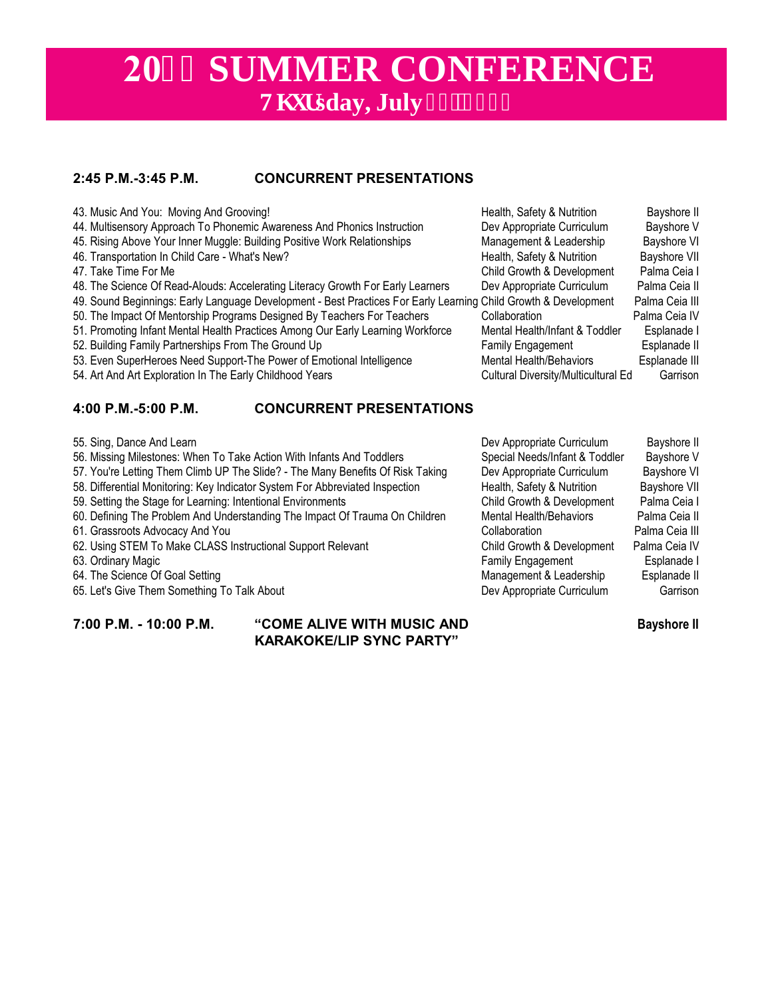# **2044 SUMMER CONFERENCE Vj** wtsday, July 43.'4244

# **2:45 P.M.-3:45 P.M. CONCURRENT PRESENTATIONS**

| 43. Music And You: Moving And Grooving!                                                                                                                                                                           |                                                                                                                 | Health, Safety & Nutrition                                                                             | Bayshore II                                                   |                                                                       |  |
|-------------------------------------------------------------------------------------------------------------------------------------------------------------------------------------------------------------------|-----------------------------------------------------------------------------------------------------------------|--------------------------------------------------------------------------------------------------------|---------------------------------------------------------------|-----------------------------------------------------------------------|--|
| 44. Multisensory Approach To Phonemic Awareness And Phonics Instruction                                                                                                                                           | Dev Appropriate Curriculum                                                                                      | Bayshore V                                                                                             |                                                               |                                                                       |  |
| 45. Rising Above Your Inner Muggle: Building Positive Work Relationships                                                                                                                                          |                                                                                                                 | Management & Leadership                                                                                | <b>Bayshore VI</b>                                            |                                                                       |  |
| 46. Transportation In Child Care - What's New?                                                                                                                                                                    |                                                                                                                 | Health, Safety & Nutrition                                                                             | <b>Bayshore VII</b>                                           |                                                                       |  |
| 47. Take Time For Me                                                                                                                                                                                              |                                                                                                                 | Child Growth & Development                                                                             | Palma Ceia I                                                  |                                                                       |  |
|                                                                                                                                                                                                                   | 48. The Science Of Read-Alouds: Accelerating Literacy Growth For Early Learners                                 | Dev Appropriate Curriculum                                                                             | Palma Ceia II                                                 |                                                                       |  |
|                                                                                                                                                                                                                   | 49. Sound Beginnings: Early Language Development - Best Practices For Early Learning Child Growth & Development |                                                                                                        | Palma Ceia III                                                |                                                                       |  |
| 50. The Impact Of Mentorship Programs Designed By Teachers For Teachers<br>51. Promoting Infant Mental Health Practices Among Our Early Learning Workforce<br>52. Building Family Partnerships From The Ground Up |                                                                                                                 | Collaboration<br>Mental Health/Infant & Toddler<br><b>Family Engagement</b><br>Mental Health/Behaviors | Palma Ceia IV<br>Esplanade I<br>Esplanade II<br>Esplanade III |                                                                       |  |
|                                                                                                                                                                                                                   |                                                                                                                 |                                                                                                        |                                                               | 53. Even SuperHeroes Need Support-The Power of Emotional Intelligence |  |
|                                                                                                                                                                                                                   |                                                                                                                 |                                                                                                        |                                                               | 54. Art And Art Exploration In The Early Childhood Years              |  |
| 4:00 P.M.-5:00 P.M.                                                                                                                                                                                               | <b>CONCURRENT PRESENTATIONS</b>                                                                                 |                                                                                                        |                                                               |                                                                       |  |
| 55. Sing, Dance And Learn                                                                                                                                                                                         |                                                                                                                 | Dev Appropriate Curriculum                                                                             | Bayshore II                                                   |                                                                       |  |

- 
- 56. Missing Milestones: When To Take Action With Infants And Toddlers Special Needs/Infant & Toddler Bayshore V<br>57. You're Letting Them Climb UP The Slide? The Many Benefits Of Risk Taking Dev Appropriate Curriculum Bays
- 57. You're Letting Them Climb UP The Slide? The Many Benefits Of Risk Taking Dev Appropriate Curriculum
- 58. Differential Monitoring: Key Indicator System For Abbreviated Inspection Fundel Health, Safety & Nutrition Bayshore VII<br>199. Setting the Stage for Learning: Intentional Environments Child Growth & Development Palma Cei
- 59. Setting the Stage for Learning: Intentional Environments Child Growth & Development
- 60. Defining The Problem And Understanding The Impact Of Trauma On Children Mental Health/Behaviors Palma Ceia II
- 
- 62. Using STEM To Make CLASS Instructional Support Relevant Child Growth & Development Palma Ceia IV<br>63. Ordinary Magic **Child Child Child Crowth Center Celessity** Child Growth & Development Esplanade I
- 63. Ordinary Magic **Family Engagement** Espanjal Engine Espanjal Engine Engine Engine Engine Engine Engine Engine Engine Engine Engine Engine Engine Engine Engine Engine Engine Engine Engine Engine Engine Engine Engine Engi
- 
- 65. Let's Give Them Something To Talk About Dev Appropriate Curriculum Dev Appropriate Curriculum

**7:00 P.M. - 10:00 P.M. "COME ALIVE WITH MUSIC AND Bayshore II KARAKOKE/LIP SYNC PARTY"**

61. Grassroots Advocacy And You **Collaboration** Collaboration Palma Ceia III 64. The Science Of Goal Setting and Talk About the Science of Goal Setting and About the Science of Goal Setting and Talk About the Management & Leadership Esplanade II<br>65. Let's Give Them Something To Talk About the Scien